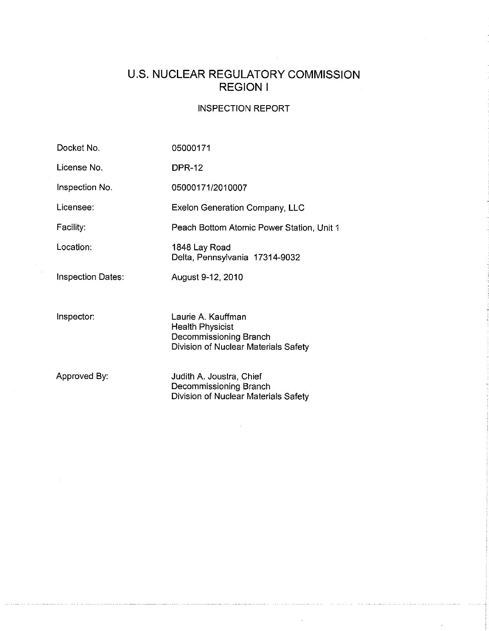# U.S. **NUCLEAR REGULATORY COMMISSION REGION I**

## INSPECTION REPORT

 $\cdot$ 

| Docket No.               | 05000171                                                                                                        |
|--------------------------|-----------------------------------------------------------------------------------------------------------------|
| License No.              | <b>DPR-12</b>                                                                                                   |
| Inspection No.           | 05000171/2010007                                                                                                |
| Licensee:                | <b>Exelon Generation Company, LLC</b>                                                                           |
| Facility:                | Peach Bottom Atomic Power Station, Unit 1                                                                       |
| Location:                | 1848 Lay Road<br>Delta, Pennsylvania 17314-9032                                                                 |
| <b>Inspection Dates:</b> | August 9-12, 2010                                                                                               |
|                          |                                                                                                                 |
| Inspector:               | Laurie A. Kauffman<br><b>Health Physicist</b><br>Decommissioning Branch<br>Division of Nuclear Materials Safety |
| Approved By:             | Judith A. Joustra, Chief<br>Decommissioning Branch<br>Division of Nuclear Materials Safety                      |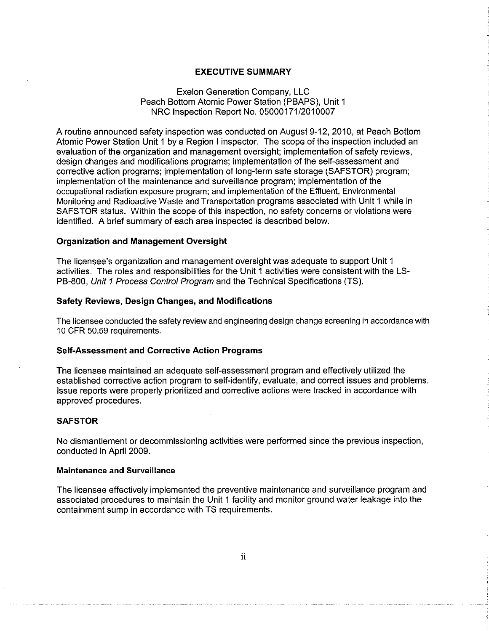### EXECUTIVE SUMMARY

### Exelon Generation Company, LLC Peach Bottom Atomic Power Station (PBAPS), Unit 1 NRC Inspection Report No. 05000171/2010007

A routine announced safety inspection was conducted on August 9-12, 2010, at Peach Bottom Atomic Power Station Unit 1 by a Region I inspector. The scope of the inspection included an evaluation of the organization and management oversight; implementation of safety reviews, design changes and modifications programs; implementation of the self-assessment and corrective action programs; implementation of long-term safe storage (SAFSTOR) program; implementation of the maintenance and surveillance program; implementation of the occupational radiation exposure program; and implementation of the Effluent, Environmental Monitoring and Radioactive Waste and Transportation programs associated with Unit 1 while in SAFSTOR status. Within the scope of this inspection, no safety concerns or violations were identified. A brief summary of each area inspected is described below.

### Organization and Management Oversight

The licensee's organization and management oversight was adequate to support Unit 1 activities. The roles and responsibilities for the Unit 1 activities were consistent with the LS-PB-800, Unit 1 Process Control Program and the Technical Specifications (TS).

#### Safety Reviews, Design Changes, and Modifications

The licensee conducted the safety review and engineering design change screening in accordance with 10 CFR 50.59 requirements.

### Self-Assessment and Corrective Action Programs

The licensee maintained an adequate self-assessment program and effectively utilized the established corrective action program to self-identify, evaluate, and correct issues and problems. Issue reports were properly prioritized and corrective actions were tracked in accordance with approved procedures.

#### **SAFSTOR**

No dismantlement or decommissioning activities were performed since the previous inspection, conducted in April 2009.

### Maintenance and Surveillance

The licensee effectively implemented the preventive maintenance and surveillance program and associated procedures to maintain the Unit 1 facility and monitor ground water leakage into the containment sump in accordance with TS requirements.

ii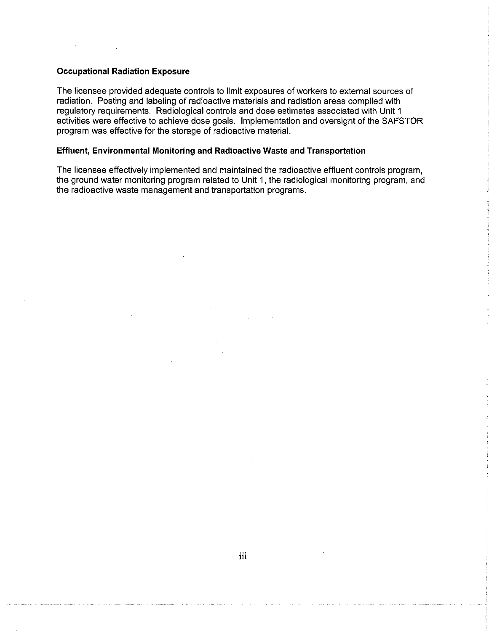### **Occupational Radiation Exposure**

The licensee provided adequate controls to limit exposures of workers to external sources of radiation. Posting and labeling of radioactive materials and radiation areas complied with regulatory requirements. Radiological controls and dose estimates associated with Unit 1 activities were effective to achieve dose goals. Implementation and oversight of the SAFSTOR program was effective for the storage of radioactive material.

### **Effluent, Environmental Monitoring and Radioactive Waste and Transportation**

The licensee effectively implemented and maintained the radioactive effluent controls program, the ground water monitoring program related to Unit 1, the radiological monitoring program, and the radioactive waste management and transportation programs.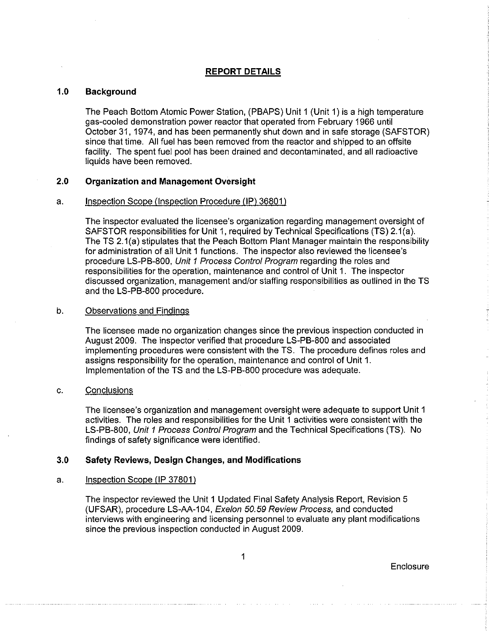### **REPORT DETAILS**

### 1.0 Background

The Peach Bottom Atomic Power Station, (PBAPS) Unit 1 (Unit 1) is a high temperature gas-cooled demonstration power reactor that operated from February 1966 until October 31, 1974, and has been permanently shut down and in safe storage (SAFSTOR) since that time. All fuel has been removed from the reactor and shipped to an offsite facility. The spent fuel pool has been drained and decontaminated, and all radioactive liquids have been removed.

### 2.0 Organization and Management Oversight

### a. Inspection Scope (Inspection Procedure (IP) 36801)

The inspector evaluated the licensee's organization regarding management oversight of SAFSTOR responsibilities for Unit 1, required by Technical Specifications (TS) 2.1 (a). The TS 2.1(a) stipulates that the Peach Bottom Plant Manager maintain the responsibility for administration of all Unit 1 functions. The inspector also reviewed the licensee's procedure LS-PB-800, Unit 1 Process Control Program regarding the roles and responsibilities for the operation, maintenance and control of Unit 1. The inspector discussed organization, management and/or staffing responsibilities as outlined in the TS and the LS-PB-800 procedure.

#### b. Observations and Findings

The licensee made no organization changes since the previous inspection conducted in August 2009. The inspector verified that procedure LS-PB-800 and associated implementing procedures were consistent with the TS. The procedure defines roles and assigns responsibility for the operation, maintenance and control of Unit 1. Implementation of the TS and the LS-PB-800 procedure was adequate.

### c. Conclusions

The licensee's organization and management oversight were adequate to support Unit 1 activities. The roles and responsibilities for the Unit 1 activities were consistent with the LS-PB-800, Unit 1 Process Control Program and the Technical Specifications (TS). No findings of safety significance were identified.

### 3.0 Safety Reviews, Design Changes, and Modifications

### a. Inspection Scope (lP 37801)

The inspector reviewed the Unit 1 Updated Final Safety Analysis Report, Revision 5 (UFSAR), procedure LS-AA-104, Exelon 50.59 Review Process, and conducted interviews with engineering and licensing personnel to evaluate any plant modifications since the previous inspection conducted in August 2009.

1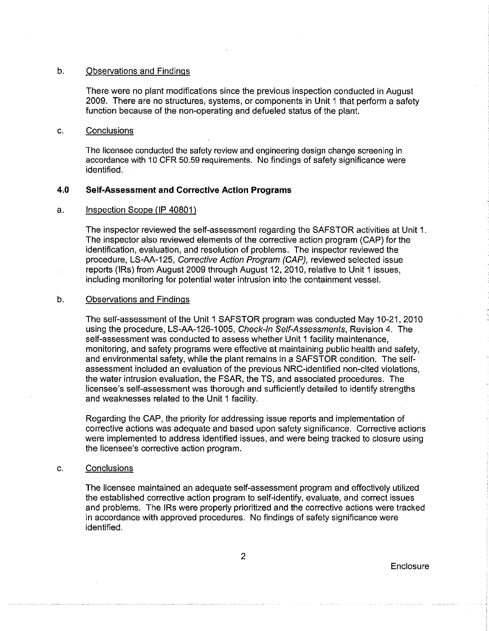### b. Observations and Findings

There were no plant modifications since the previous inspection conducted in August 2009. There are no structures, systems, or components in Unit 1 that perform a safety function because of the non-operating and defueled status of the plant.

#### c. Conclusions

The licensee conducted the safety review and engineering design change screening in accordance with 10 CFR 50.59 requirements. No findings of safety significance were identified.

### **4.0 Self-Assessment and Corrective Action Programs**

### a. Inspection Scope (IP 40801)

The inspector reviewed the self-assessment regarding the SAFSTOR activities at Unit 1. The inspector also reviewed elements of the corrective action program (CAP) for the identification, evaluation, and resolution of problems. The inspector reviewed the procedure, LS-AA-125, Corrective Action Program (CAP), reviewed selected issue reports (IRs) from August 2009 through August 12, 2010, relative to Unit 1 issues, including monitoring for potential water intrusion into the containment vessel.

### b. Observations and Findings

The self-assessment of the Unit 1 SAFSTOR program was conducted May 10-21,2010 using the procedure, LS-AA-126-1005, Check-In Self-Assessments, Revision 4. The self-assessment was conducted to assess whether Unit 1 facility maintenance, monitoring, and safety programs were effective at maintaining public health and safety, and environmental safety, while the plant remains in a SAFSTOR condition. The selfassessment included an evaluation of the previous NRC-identified non-cited violations, the water intrusion evaluation, the FSAR, the TS, and associated procedures. The licensee's self-assessment was thorough and sufficiently detailed to identify strengths and weaknesses related to the Unit 1 facility.

Regarding the CAP, the priority for addressing issue reports and implementation of corrective actions was adequate and based upon safety significance. Corrective actions were implemented to address identified issues, and were being tracked to closure using the licensee's corrective action program.

### c. Conclusions

The licensee maintained an adequate self-assessment program and effectively utilized the established corrective action program to self-identify, evaluate, and correct issues and problems. The IRs were properly prioritized and the corrective actions were tracked in accordance with approved procedures. No findings of safety significance were identified.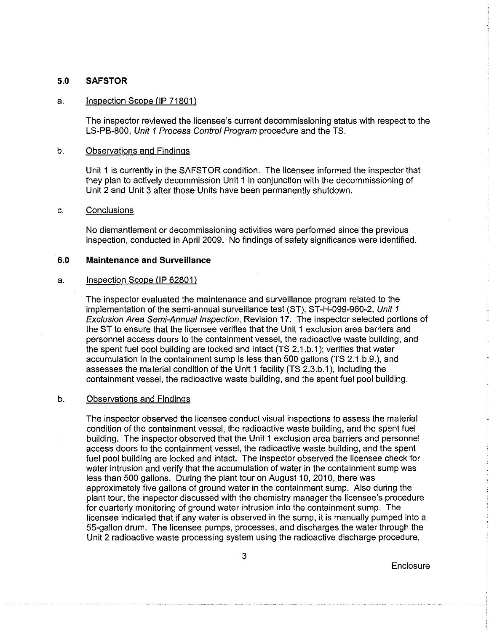### 5.0 **SAFSTOR**

### a. Inspection Scope (IP 71801)

The inspector reviewed the licensee's current decommissioning status with respect to the LS-PB-800, Unit 1 Process Control Program procedure and the TS.

#### b. Observations and Findings

Unit 1 is currently in the SAFSTOR condition. The licensee informed the inspector that they plan to actively decommission Unit 1 in conjunction with the decommissioning of Unit 2 and Unit 3 after those Units have been permanently shutdown.

#### c. Conclusions

No dismantlement or decommissioning activities were performed since the previous inspection, conducted in April 2009. No findings of safety significance were identified.

### 6.0 **Maintenance** and **Surveillance**

#### a. Inspection Scope (lP 62801)

The inspector evaluated the maintenance and surveillance program related to the implementation of the semi-annual surveillance test (ST), ST-H-099-960-2, Unit 1 Exclusion Area Semi-Annual Inspection, Revision 17. The inspector selected portions of the ST to ensure that the licensee verifies that the Unit 1 exclusion area barriers and personnel access doors to the containment vessel, the radioactive waste building, and the spent fuel pool building are locked and intact (TS 2.1.b.1); verifies that water accumulation in the containment sump is less than 500 gallons (TS 2.1.b.9.), and assesses the material condition of the Unit 1 facility (TS 2.3.b.1), including the containment vessel, the radioactive waste building, and the spent fuel pool building.

#### b. Observations and Findings

The inspector observed the licensee conduct visual inspections to assess the material condition of the containment vessel, the radioactive waste building, and the spent fuel building. The inspector observed that the Unit 1 exclusion area barriers and personnel access doors to the containment vessel, the radioactive waste building, and the spent fuel pool building are locked and intact. The inspector observed the licensee check for water intrusion and verify that the accumulation of water in the containment sump was less than 500 gallons. During the plant tour on August 10, 2010, there was approximately five gallons of ground water in the containment sump. Also during the plant tour, the inspector discussed with the chemistry manager the licensee's procedure for quarterly monitoring of ground water intrusion into the containment sump. The licensee indicated that if any water is observed in the sump, it is manually pumped into a 55-gallon drum. The licensee pumps, processes, and discharges the water through the Unit 2 radioactive waste processing system using the radioactive discharge procedure,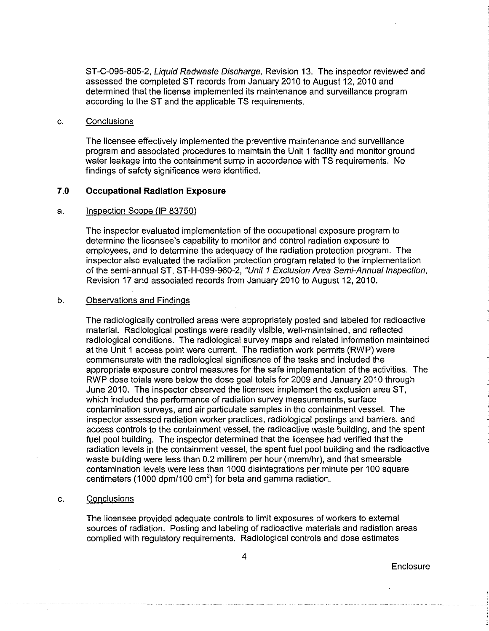ST-C-095-805-2, Liquid Radwaste Discharge, Revision 13. The inspector reviewed and assessed the completed ST records from January 2010 to August 12, 2010 and determined that the license implemented its maintenance and surveillance program according to the ST and the applicable TS requirements.

### c. Conclusions

The licensee effectively implemented the preventive maintenance and surveillance program and associated procedures to maintain the Unit 1 facility and monitor ground water leakage into the containment sump in accordance with TS requirements. No findings of safety significance were identified.

### 7.0 **Occupational Radiation Exposure**

#### a. Inspection Scope (IP 83750)

The inspector evaluated implementation of the occupational exposure program to determine the licensee's capability to monitor and control radiation exposure to employees, and to determine the adequacy of the radiation protection program. The inspector also evaluated the radiation protection program related to the implementation of the semi-annual ST, ST-H-099-960-2, "Unit 1 Exclusion Area Semi-Annual Inspection, Revision 17 and associated records from January 2010 to August 12, 2010.

#### b. Observations and Findings

The radiologically controlled areas were appropriately posted and labeled for radioactive material. Radiological postings were readily visible, well-maintained, and reflected radiological conditions. The radiological survey maps and related information maintained at the Unit 1 access point were current. The radiation work permits (RWP) were commensurate with the radiological significance of the tasks and included the appropriate exposure control measures for the safe implementation of the activities. The RWP dose totals were below the dose goal totals for 2009 and January 2010 through June 2010. The inspector observed the licensee implement the exclusion area ST, which included the performance of radiation survey measurements, surface contamination surveys, and air particulate samples in the containment vessel. The inspector assessed radiation worker practices, radiological postings and barriers, and access controls to the containment vessel, the radioactive waste building, and the spent fuel pool building. The inspector determined that the licensee had verified that the radiation levels in the containment vessel, the spent fuel pool building and the radioactive waste building were less than 0.2 millirem per hour (mrem/hr), and that smearable contamination levels were less than 1000 disintegrations per minute per 100 square centimeters (1000 dpm/100  $\text{cm}^2$ ) for beta and gamma radiation.

#### c. Conclusions

The licensee provided adequate controls to limit exposures of workers to external sources of radiation. Posting and labeling of radioactive materials and radiation areas complied with regulatory requirements. Radiological controls and dose estimates

**Enclosure** 

4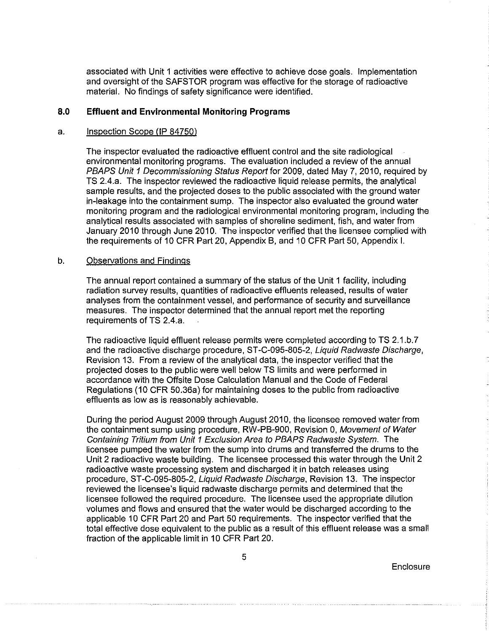associated with Unit 1 activities were effective to achieve dose goals. Implementation and oversight of the SAFSTOR program was effective for the storage of radioactive material. No findings of safety significance were identified.

### **8.0 Effluent and Environmental Monitoring Programs**

#### a. Inspection Scope (IP 84750)

The inspector evaluated the radioactive effluent control and the site radiological environmental monitoring programs. The evaluation included a review of the annual PBAPS Unit 1 Decommissioning Status Report for 2009. dated May 7, 2010, required by TS 2.4.a. The inspector reviewed the radioactive liquid release permits, the analytical sample results, and the projected doses to the public associated with the ground water in-leakage into the containment sump. The inspector also evaluated the ground water monitoring program and the radiological environmental monitoring program, including the analytical results associated with samples of shoreline sediment, fish, and water from January 2010 through June 2010. The inspector verified that the licensee complied with the requirements of 10 CFR Part 20, Appendix B, and 10 CFR Part 50, Appendix I.

#### b. Observations and Findings

The annual report contained a summary of the status of the Unit 1 facility, including radiation survey results, quantities of radioactive effluents released, results of water analyses from the containment vessel, and performance of security and surveillance measures. The inspector determined that the annual report met the reporting requirements of TS 2.4.a.

The radioactive liquid effluent release permits were completed according to TS 2.1.b.7 and the radioactive discharge procedure, ST-C-095-805-2, Liquid Radwaste Discharge, Revision 13. From a review of the analytical data, the inspector verified that the projected doses to the public were well below TS limits and were performed in accordance with the Offsite Dose Calculation Manual and the Code of Federal Regulations (10 CFR 50.36a) for maintaining doses to the public from radioactive effluents as low as is reasonably achievable.

During the period August 2009 through August 2010, the licensee removed water from the containment sump using procedure, RW-PB-900, Revision 0, Movement of Water Containing Tritium from Unit 1 Exclusion Area to PBAPS Radwaste System. The licensee pumped the water from the sump into drums and transferred the drums to the Unit 2 radioactive waste building. The licensee processed this water through the Unit 2 radioactive waste processing system and discharged it in batch releases using procedure, ST -C-095-805-2, Liquid Radwaste Discharge, Revision 13. The inspector reviewed the licensee's liquid radwaste discharge permits and determined that the licensee followed the required procedure. The licensee used the appropriate dilution volumes and flows and ensured that the water would be discharged according to the applicable 10 CFR Part 20 and Part 50 requirements. The inspector verified that the total effective dose equivalent to the public as a result of this effluent release was a small fraction of the applicable limit in 10 CFR Part 20.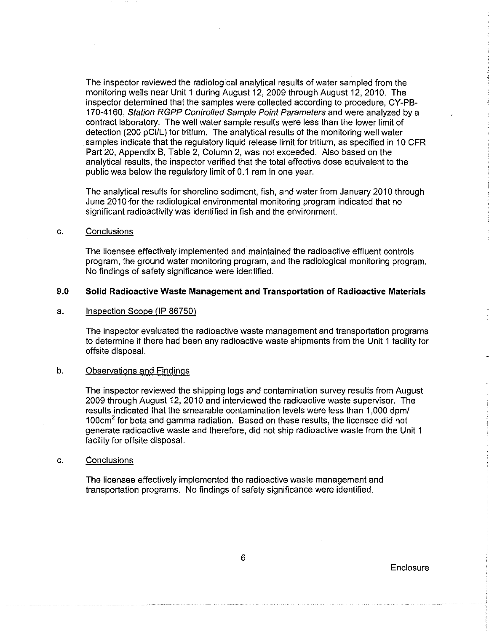The inspector reviewed the radiological analytical results of water sampled from the monitoring wells near Unit 1 during August 12, 2009 through August 12, 2010. The inspector determined that the samples were collected according to procedure, CY-PB-170-4160, Station RGPP Controlled Sample Point Parameters and were analyzed by a contract laboratory. The well water sample results were less than the lower limit of detection (200 pCi/L) for tritium. The analytical results of the monitoring well water samples indicate that the regulatory liquid release limit for tritium, as specified in 10 CFR Part 20, Appendix B, Table 2, Column 2, was not exceeded. Also based on the analytical results, the inspector verified that the total effective dose equivalent to the public was below the regulatory limit of 0.1 rem in one year.

The analytical results for shoreline sediment, fish, and water from January 2010 through June 2010 for the radiological environmental monitoring program indicated that no significant radioactivity was identified in fish and the environment.

#### c. Conclusions

The licensee effectively implemented and maintained the radioactive effluent controls program, the ground water monitoring program, and the radiological monitoring program. No findings of safety significance were identified.

### **9.0 Solid Radioactive Waste Management and Transportation of Radioactive Materials**

### a. Inspection Scope (IP 86750)

The inspector evaluated the radioactive waste management and transportation programs to determine if there had been any radioactive waste shipments from the Unit 1 facility for offsite disposal.

#### b. Observations and Findings

The inspector reviewed the shipping logs and contamination survey results from August 2009 through August 12, 2010 and interviewed the radioactive waste supervisor. The results indicated that the smearable contamination levels were less than 1,000 dpm/ 100 $cm<sup>2</sup>$  for beta and gamma radiation. Based on these results, the licensee did not generate radioactive waste and therefore, did not ship radioactive waste from the Unit 1 facility for offsite disposal.

#### c. Conclusions

The licensee effectively implemented the radioactive waste management and transportation programs. No findings of safety significance were identified.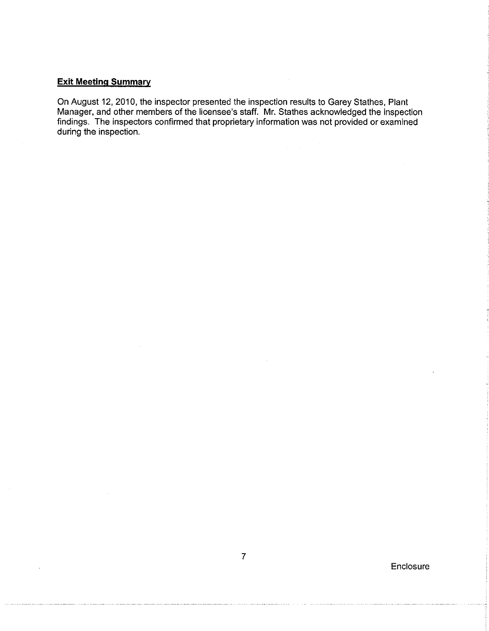## **Exit Meeting Summary**

 $\ddot{\phantom{a}}$ 

**On** August 12, 2010, the inspector presented the inspection results to Garey Stathes, Plant Manager, and other members of the licensee's staff. Mr. Stathes acknowledged the inspection findings. The inspectors confirmed that proprietary information was not provided or examined during the inspection.

 $\label{eq:2.1} \frac{1}{2} \int_{\mathbb{R}^3} \frac{1}{\sqrt{2}} \, \frac{1}{\sqrt{2}} \, \frac{1}{\sqrt{2}} \, \frac{1}{\sqrt{2}} \, \frac{1}{\sqrt{2}} \, \frac{1}{\sqrt{2}} \, \frac{1}{\sqrt{2}} \, \frac{1}{\sqrt{2}} \, \frac{1}{\sqrt{2}} \, \frac{1}{\sqrt{2}} \, \frac{1}{\sqrt{2}} \, \frac{1}{\sqrt{2}} \, \frac{1}{\sqrt{2}} \, \frac{1}{\sqrt{2}} \, \frac{1}{\sqrt{2}} \, \frac{1}{\sqrt{2}} \,$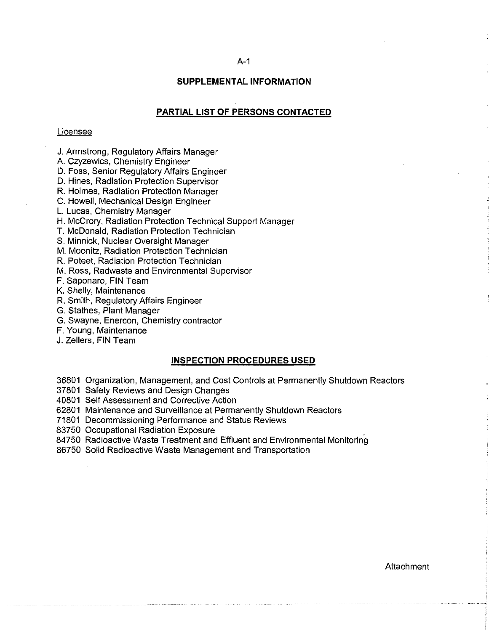#### A-1

### **SUPPLEMENTAL INFORMATION**

### **PARTIAL LIST OF PERSONS CONTACTED**

#### Licensee

J. Armstrong, Regulatory Affairs Manager

A. Czyzewics, Chemistry Engineer

D. Foss, Senior Regulatory Affairs Engineer

D. Hines, Radiation Protection Supervisor

R. Holmes, Radiation Protection Manager

C. Howell, Mechanical Design Engineer

L. Lucas, Chemistry Manager

H. McCrory, Radiation Protection Technical Support Manager

**T.** McDonald, Radiation Protection Technician

S. Minnick, Nuclear Oversight Manager

M. Moonitz, Radiation Protection Technician

R. Poteet, Radiation Protection Technician

M. Ross, Radwaste and Environmental Supervisor

**F.** Saponaro, FIN Team

K. Shelly, Maintenance

R. Smith, Regulatory Affairs Engineer

G. Stathes, Plant Manager

G. Swayne, Enercon, Chemistry contractor

**F.** Young, Maintenance

J. Zellers, FIN Team

### **INSPECTION PROCEDURES USED**

36801 Organization, Management, and Cost Controls at Permanently Shutdown Reactors

37801 Safety Reviews and Design Changes

40801 Self Assessment and Corrective Action

62801 Maintenance and Surveillance at Permanently Shutdown Reactors

71801 Decommissioning Performance and Status Reviews

83750 Occupational Radiation Exposure

84750 Radioactive Waste Treatment and Effluent and Environmental Monitoring

86750 Solid Radioactive Waste Management and Transportation

**Attachment**